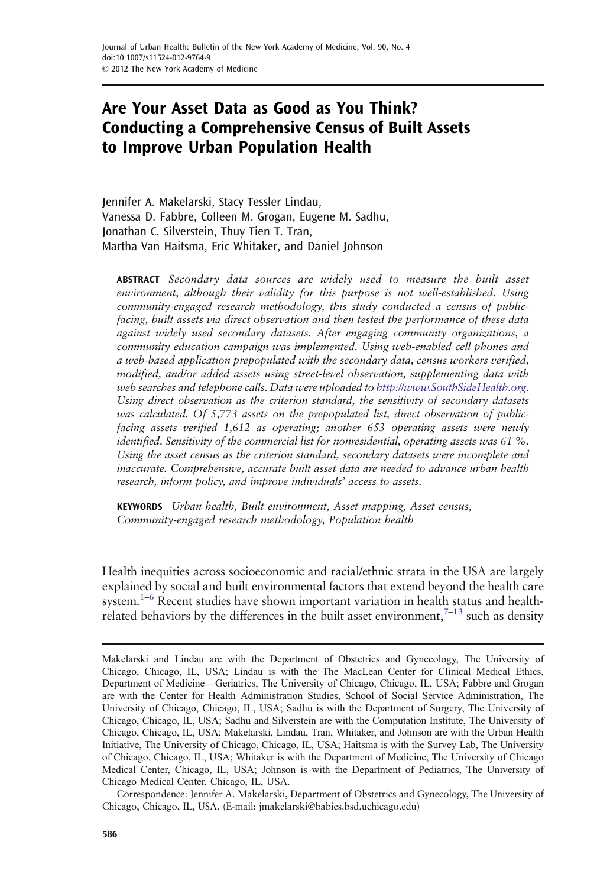# Are Your Asset Data as Good as You Think? Conducting a Comprehensive Census of Built Assets to Improve Urban Population Health

Jennifer A. Makelarski, Stacy Tessler Lindau, Vanessa D. Fabbre, Colleen M. Grogan, Eugene M. Sadhu, Jonathan C. Silverstein, Thuy Tien T. Tran, Martha Van Haitsma, Eric Whitaker, and Daniel Johnson

ABSTRACT Secondary data sources are widely used to measure the built asset environment, although their validity for this purpose is not well-established. Using community-engaged research methodology, this study conducted a census of publicfacing, built assets via direct observation and then tested the performance of these data against widely used secondary datasets. After engaging community organizations, a community education campaign was implemented. Using web-enabled cell phones and a web-based application prepopulated with the secondary data, census workers verified, modified, and/or added assets using street-level observation, supplementing data with web searches and telephone calls. Data were uploaded to <http://www.SouthSideHealth.org>. Using direct observation as the criterion standard, the sensitivity of secondary datasets was calculated. Of 5,773 assets on the prepopulated list, direct observation of publicfacing assets verified 1,612 as operating; another 653 operating assets were newly identified. Sensitivity of the commercial list for nonresidential, operating assets was 61 %. Using the asset census as the criterion standard, secondary datasets were incomplete and inaccurate. Comprehensive, accurate built asset data are needed to advance urban health research, inform policy, and improve individuals' access to assets.

KEYWORDS Urban health, Built environment, Asset mapping, Asset census, Community-engaged research methodology, Population health

Health inequities across socioeconomic and racial/ethnic strata in the USA are largely explained by social and built environmental factors that extend beyond the health care system. $1-6$  $1-6$  Recent studies have shown important variation in health status and healthrelated behaviors by the differences in the built asset environment,  $7-13$  $7-13$  such as density

Correspondence: Jennifer A. Makelarski, Department of Obstetrics and Gynecology, The University of Chicago, Chicago, IL, USA. (E-mail: jmakelarski@babies.bsd.uchicago.edu)

Makelarski and Lindau are with the Department of Obstetrics and Gynecology, The University of Chicago, Chicago, IL, USA; Lindau is with the The MacLean Center for Clinical Medical Ethics, Department of Medicine—Geriatrics, The University of Chicago, Chicago, IL, USA; Fabbre and Grogan are with the Center for Health Administration Studies, School of Social Service Administration, The University of Chicago, Chicago, IL, USA; Sadhu is with the Department of Surgery, The University of Chicago, Chicago, IL, USA; Sadhu and Silverstein are with the Computation Institute, The University of Chicago, Chicago, IL, USA; Makelarski, Lindau, Tran, Whitaker, and Johnson are with the Urban Health Initiative, The University of Chicago, Chicago, IL, USA; Haitsma is with the Survey Lab, The University of Chicago, Chicago, IL, USA; Whitaker is with the Department of Medicine, The University of Chicago Medical Center, Chicago, IL, USA; Johnson is with the Department of Pediatrics, The University of Chicago Medical Center, Chicago, IL, USA.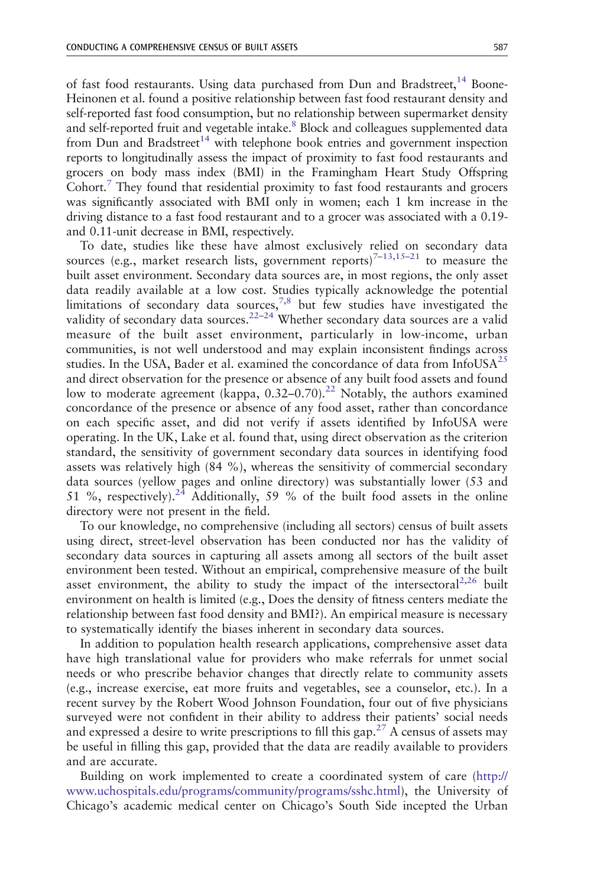of fast food restaurants. Using data purchased from Dun and Bradstreet,<sup>[14](#page-14-0)</sup> Boone-Heinonen et al. found a positive relationship between fast food restaurant density and self-reported fast food consumption, but no relationship between supermarket density and self-reported fruit and vegetable intake.<sup>[8](#page-14-0)</sup> Block and colleagues supplemented data from Dun and Bradstreet<sup>14</sup> with telephone book entries and government inspection reports to longitudinally assess the impact of proximity to fast food restaurants and grocers on body mass index (BMI) in the Framingham Heart Study Offspring Cohort.[7](#page-14-0) They found that residential proximity to fast food restaurants and grocers was significantly associated with BMI only in women; each 1 km increase in the driving distance to a fast food restaurant and to a grocer was associated with a 0.19 and 0.11-unit decrease in BMI, respectively.

To date, studies like these have almost exclusively relied on secondary data sources (e.g., market research lists, government reports)<sup>[7](#page-14-0)-[13,15](#page-14-0)-[21](#page-14-0)</sup> to measure the built asset environment. Secondary data sources are, in most regions, the only asset data readily available at a low cost. Studies typically acknowledge the potential limitations of secondary data sources,  $7,8$  but few studies have investigated the validity of secondary data sources.<sup>22–[24](#page-14-0)</sup> Whether secondary data sources are a valid measure of the built asset environment, particularly in low-income, urban communities, is not well understood and may explain inconsistent findings across studies. In the USA, Bader et al. examined the concordance of data from InfoUS $A^{25}$  $A^{25}$  $A^{25}$ and direct observation for the presence or absence of any built food assets and found low to moderate agreement (kappa,  $0.32-0.70$ ).<sup>[22](#page-14-0)</sup> Notably, the authors examined concordance of the presence or absence of any food asset, rather than concordance on each specific asset, and did not verify if assets identified by InfoUSA were operating. In the UK, Lake et al. found that, using direct observation as the criterion standard, the sensitivity of government secondary data sources in identifying food assets was relatively high (84 %), whereas the sensitivity of commercial secondary data sources (yellow pages and online directory) was substantially lower (53 and 51 %, respectively).<sup>[24](#page-14-0)</sup> Additionally, 59 % of the built food assets in the online directory were not present in the field.

To our knowledge, no comprehensive (including all sectors) census of built assets using direct, street-level observation has been conducted nor has the validity of secondary data sources in capturing all assets among all sectors of the built asset environment been tested. Without an empirical, comprehensive measure of the built asset environment, the ability to study the impact of the intersectoral<sup>[2](#page-13-0)[,26](#page-14-0)</sup> built environment on health is limited (e.g., Does the density of fitness centers mediate the relationship between fast food density and BMI?). An empirical measure is necessary to systematically identify the biases inherent in secondary data sources.

In addition to population health research applications, comprehensive asset data have high translational value for providers who make referrals for unmet social needs or who prescribe behavior changes that directly relate to community assets (e.g., increase exercise, eat more fruits and vegetables, see a counselor, etc.). In a recent survey by the Robert Wood Johnson Foundation, four out of five physicians surveyed were not confident in their ability to address their patients' social needs and expressed a desire to write prescriptions to fill this gap.<sup>[27](#page-14-0)</sup> A census of assets may be useful in filling this gap, provided that the data are readily available to providers and are accurate.

Building on work implemented to create a coordinated system of care ([http://](http://www.uchospitals.edu/programs/community/programs/sshc.html) [www.uchospitals.edu/programs/community/programs/sshc.html](http://www.uchospitals.edu/programs/community/programs/sshc.html)), the University of Chicago's academic medical center on Chicago's South Side incepted the Urban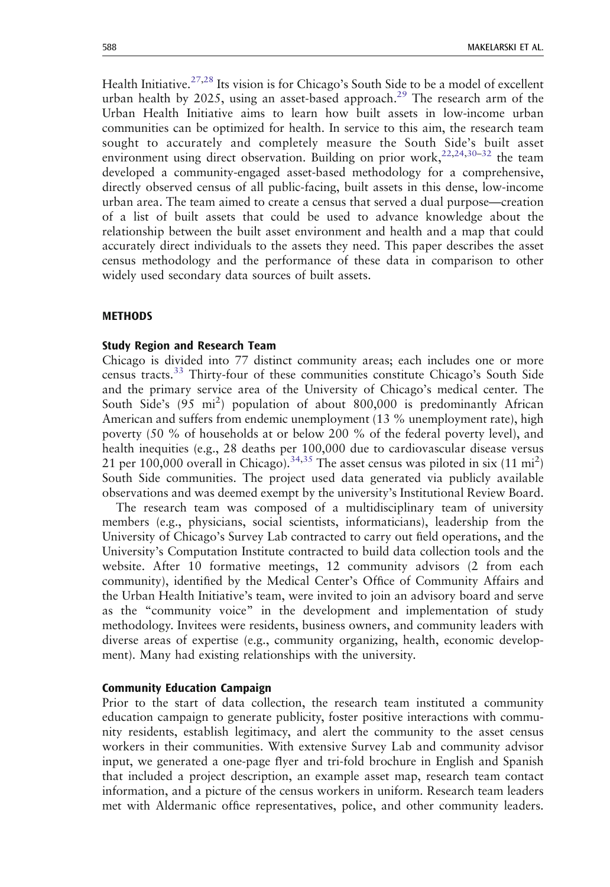Health Initiative.<sup>[27](#page-14-0)[,28](#page-15-0)</sup> Its vision is for Chicago's South Side to be a model of excellent urban health by 2025, using an asset-based approach.<sup>29</sup> The research arm of the Urban Health Initiative aims to learn how built assets in low-income urban communities can be optimized for health. In service to this aim, the research team sought to accurately and completely measure the South Side's built asset environment using direct observation. Building on prior work,  $22,24,30-32$  $22,24,30-32$  $22,24,30-32$  $22,24,30-32$  the team developed a community-engaged asset-based methodology for a comprehensive, directly observed census of all public-facing, built assets in this dense, low-income urban area. The team aimed to create a census that served a dual purpose—creation of a list of built assets that could be used to advance knowledge about the relationship between the built asset environment and health and a map that could accurately direct individuals to the assets they need. This paper describes the asset census methodology and the performance of these data in comparison to other widely used secondary data sources of built assets.

#### METHODS

## Study Region and Research Team

Chicago is divided into 77 distinct community areas; each includes one or more census tracts.[33](#page-15-0) Thirty-four of these communities constitute Chicago's South Side and the primary service area of the University of Chicago's medical center. The South Side's (95 mi<sup>2</sup>) population of about 800,000 is predominantly African American and suffers from endemic unemployment (13 % unemployment rate), high poverty (50 % of households at or below 200 % of the federal poverty level), and health inequities (e.g., 28 deaths per 100,000 due to cardiovascular disease versus 21 per 100,000 overall in Chicago).<sup>[34,35](#page-15-0)</sup> The asset census was piloted in six (11 mi<sup>2</sup>) South Side communities. The project used data generated via publicly available observations and was deemed exempt by the university's Institutional Review Board.

The research team was composed of a multidisciplinary team of university members (e.g., physicians, social scientists, informaticians), leadership from the University of Chicago's Survey Lab contracted to carry out field operations, and the University's Computation Institute contracted to build data collection tools and the website. After 10 formative meetings, 12 community advisors (2 from each community), identified by the Medical Center's Office of Community Affairs and the Urban Health Initiative's team, were invited to join an advisory board and serve as the "community voice" in the development and implementation of study methodology. Invitees were residents, business owners, and community leaders with diverse areas of expertise (e.g., community organizing, health, economic development). Many had existing relationships with the university.

#### Community Education Campaign

Prior to the start of data collection, the research team instituted a community education campaign to generate publicity, foster positive interactions with community residents, establish legitimacy, and alert the community to the asset census workers in their communities. With extensive Survey Lab and community advisor input, we generated a one-page flyer and tri-fold brochure in English and Spanish that included a project description, an example asset map, research team contact information, and a picture of the census workers in uniform. Research team leaders met with Aldermanic office representatives, police, and other community leaders.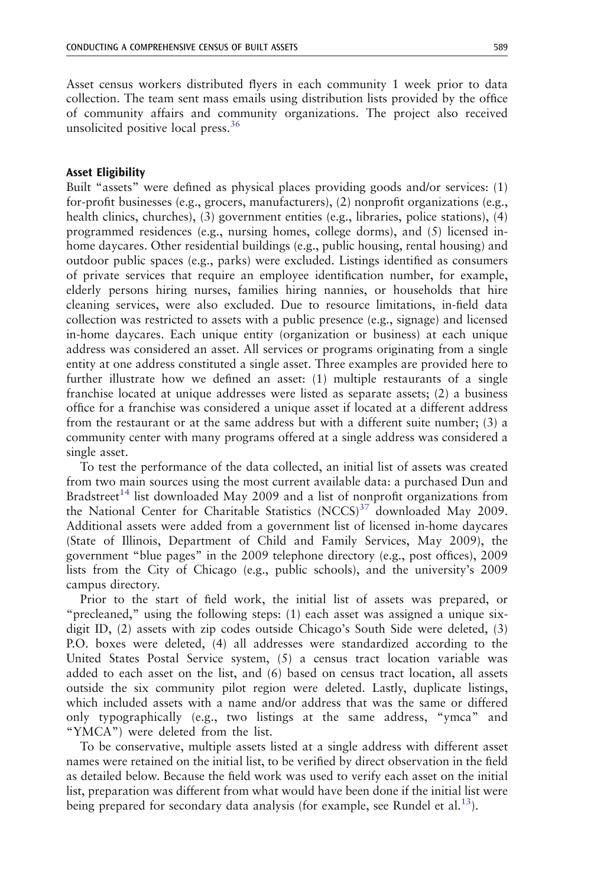Asset census workers distributed flyers in each community 1 week prior to data collection. The team sent mass emails using distribution lists provided by the office of community affairs and community organizations. The project also received unsolicited positive local press.<sup>[36](#page-15-0)</sup>

## Asset Eligibility

Built "assets" were defined as physical places providing goods and/or services: (1) for-profit businesses (e.g., grocers, manufacturers), (2) nonprofit organizations (e.g., health clinics, churches), (3) government entities (e.g., libraries, police stations), (4) programmed residences (e.g., nursing homes, college dorms), and (5) licensed inhome daycares. Other residential buildings (e.g., public housing, rental housing) and outdoor public spaces (e.g., parks) were excluded. Listings identified as consumers of private services that require an employee identification number, for example, elderly persons hiring nurses, families hiring nannies, or households that hire cleaning services, were also excluded. Due to resource limitations, in-field data collection was restricted to assets with a public presence (e.g., signage) and licensed in-home daycares. Each unique entity (organization or business) at each unique address was considered an asset. All services or programs originating from a single entity at one address constituted a single asset. Three examples are provided here to further illustrate how we defined an asset: (1) multiple restaurants of a single franchise located at unique addresses were listed as separate assets; (2) a business office for a franchise was considered a unique asset if located at a different address from the restaurant or at the same address but with a different suite number; (3) a community center with many programs offered at a single address was considered a single asset.

To test the performance of the data collected, an initial list of assets was created from two main sources using the most current available data: a purchased Dun and Bradstreet<sup>[14](#page-14-0)</sup> list downloaded May 2009 and a list of nonprofit organizations from the National Center for Charitable Statistics  $(NCCS)^{37}$  $(NCCS)^{37}$  $(NCCS)^{37}$  downloaded May 2009. Additional assets were added from a government list of licensed in-home daycares (State of Illinois, Department of Child and Family Services, May 2009), the government "blue pages" in the 2009 telephone directory (e.g., post offices), 2009 lists from the City of Chicago (e.g., public schools), and the university's 2009 campus directory.

Prior to the start of field work, the initial list of assets was prepared, or "precleaned," using the following steps: (1) each asset was assigned a unique sixdigit ID, (2) assets with zip codes outside Chicago's South Side were deleted, (3) P.O. boxes were deleted, (4) all addresses were standardized according to the United States Postal Service system, (5) a census tract location variable was added to each asset on the list, and (6) based on census tract location, all assets outside the six community pilot region were deleted. Lastly, duplicate listings, which included assets with a name and/or address that was the same or differed only typographically (e.g., two listings at the same address, "ymca" and "YMCA") were deleted from the list.

To be conservative, multiple assets listed at a single address with different asset names were retained on the initial list, to be verified by direct observation in the field as detailed below. Because the field work was used to verify each asset on the initial list, preparation was different from what would have been done if the initial list were being prepared for secondary data analysis (for example, see Rundel et al.<sup>13</sup>).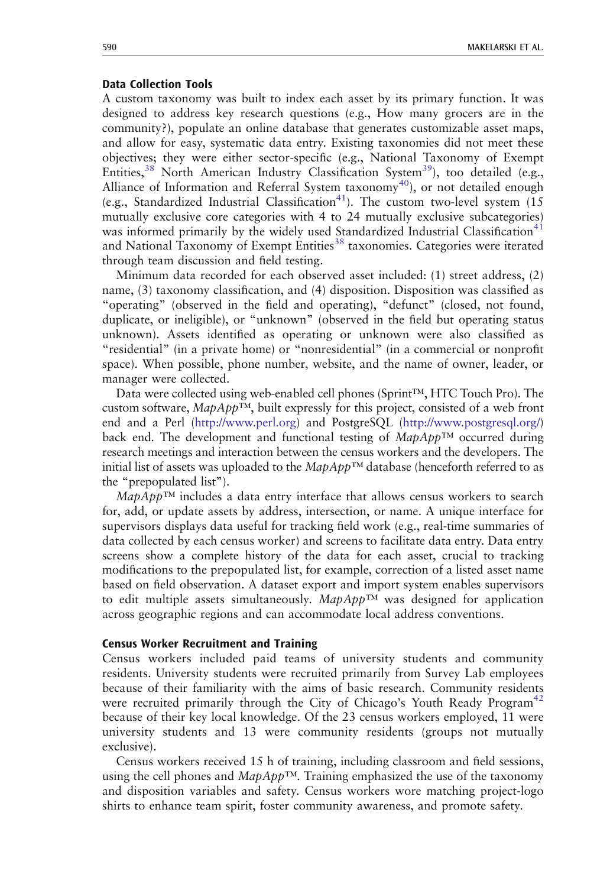# Data Collection Tools

A custom taxonomy was built to index each asset by its primary function. It was designed to address key research questions (e.g., How many grocers are in the community?), populate an online database that generates customizable asset maps, and allow for easy, systematic data entry. Existing taxonomies did not meet these objectives; they were either sector-specific (e.g., National Taxonomy of Exempt Entities,<sup>[38](#page-15-0)</sup> North American Industry Classification System<sup>39</sup>), too detailed (e.g., Alliance of Information and Referral System taxonomy<sup>[40](#page-15-0)</sup>), or not detailed enough (e.g., Standardized Industrial Classification<sup>[41](#page-15-0)</sup>). The custom two-level system  $(15$ mutually exclusive core categories with 4 to 24 mutually exclusive subcategories) was informed primarily by the widely used Standardized Industrial Classification<sup>[41](#page-15-0)</sup> and National Taxonomy of Exempt Entities<sup>[38](#page-15-0)</sup> taxonomies. Categories were iterated through team discussion and field testing.

Minimum data recorded for each observed asset included: (1) street address, (2) name, (3) taxonomy classification, and (4) disposition. Disposition was classified as "operating" (observed in the field and operating), "defunct" (closed, not found, duplicate, or ineligible), or "unknown" (observed in the field but operating status unknown). Assets identified as operating or unknown were also classified as "residential" (in a private home) or "nonresidential" (in a commercial or nonprofit space). When possible, phone number, website, and the name of owner, leader, or manager were collected.

Data were collected using web-enabled cell phones (Sprint™, HTC Touch Pro). The custom software,  $MapApp^{TM}$ , built expressly for this project, consisted of a web front end and a Perl [\(http://www.perl.org](http://www.perl.org)) and PostgreSQL [\(http://www.postgresql.org/](http://www.postgresql.org/)) back end. The development and functional testing of  $MapAp<sup>TM</sup>$  occurred during research meetings and interaction between the census workers and the developers. The initial list of assets was uploaded to the  $\text{MapApp}^{\text{TM}}$  database (henceforth referred to as the "prepopulated list").

 $MapApp^{TM}$  includes a data entry interface that allows census workers to search for, add, or update assets by address, intersection, or name. A unique interface for supervisors displays data useful for tracking field work (e.g., real-time summaries of data collected by each census worker) and screens to facilitate data entry. Data entry screens show a complete history of the data for each asset, crucial to tracking modifications to the prepopulated list, for example, correction of a listed asset name based on field observation. A dataset export and import system enables supervisors to edit multiple assets simultaneously.  $MapApp<sup>TM</sup>$  was designed for application across geographic regions and can accommodate local address conventions.

#### Census Worker Recruitment and Training

Census workers included paid teams of university students and community residents. University students were recruited primarily from Survey Lab employees because of their familiarity with the aims of basic research. Community residents were recruited primarily through the City of Chicago's Youth Ready Program<sup>[42](#page-15-0)</sup> because of their key local knowledge. Of the 23 census workers employed, 11 were university students and 13 were community residents (groups not mutually exclusive).

Census workers received 15 h of training, including classroom and field sessions, using the cell phones and  $MapApp^{TM}$ . Training emphasized the use of the taxonomy and disposition variables and safety. Census workers wore matching project-logo shirts to enhance team spirit, foster community awareness, and promote safety.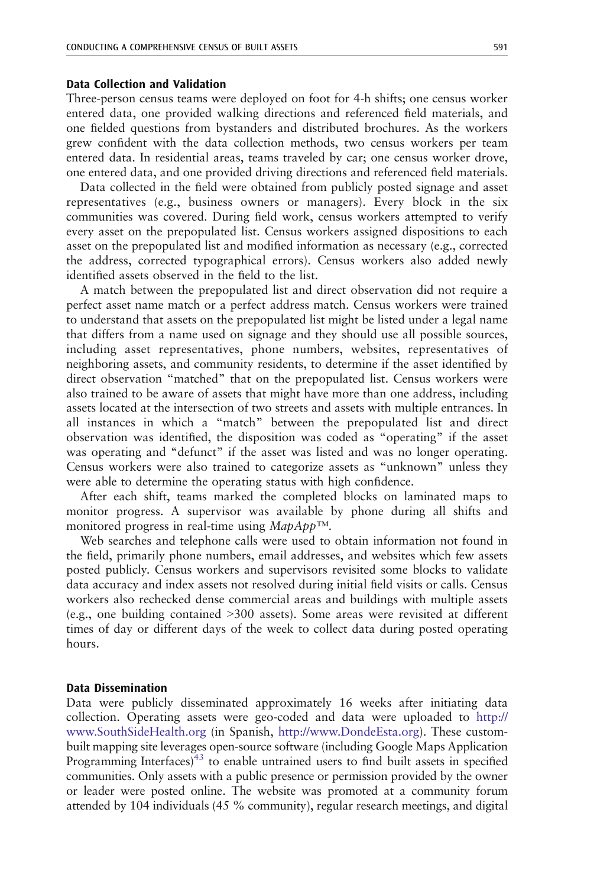## Data Collection and Validation

Three-person census teams were deployed on foot for 4-h shifts; one census worker entered data, one provided walking directions and referenced field materials, and one fielded questions from bystanders and distributed brochures. As the workers grew confident with the data collection methods, two census workers per team entered data. In residential areas, teams traveled by car; one census worker drove, one entered data, and one provided driving directions and referenced field materials.

Data collected in the field were obtained from publicly posted signage and asset representatives (e.g., business owners or managers). Every block in the six communities was covered. During field work, census workers attempted to verify every asset on the prepopulated list. Census workers assigned dispositions to each asset on the prepopulated list and modified information as necessary (e.g., corrected the address, corrected typographical errors). Census workers also added newly identified assets observed in the field to the list.

A match between the prepopulated list and direct observation did not require a perfect asset name match or a perfect address match. Census workers were trained to understand that assets on the prepopulated list might be listed under a legal name that differs from a name used on signage and they should use all possible sources, including asset representatives, phone numbers, websites, representatives of neighboring assets, and community residents, to determine if the asset identified by direct observation "matched" that on the prepopulated list. Census workers were also trained to be aware of assets that might have more than one address, including assets located at the intersection of two streets and assets with multiple entrances. In all instances in which a "match" between the prepopulated list and direct observation was identified, the disposition was coded as "operating" if the asset was operating and "defunct" if the asset was listed and was no longer operating. Census workers were also trained to categorize assets as "unknown" unless they were able to determine the operating status with high confidence.

After each shift, teams marked the completed blocks on laminated maps to monitor progress. A supervisor was available by phone during all shifts and monitored progress in real-time using MapApp™.

Web searches and telephone calls were used to obtain information not found in the field, primarily phone numbers, email addresses, and websites which few assets posted publicly. Census workers and supervisors revisited some blocks to validate data accuracy and index assets not resolved during initial field visits or calls. Census workers also rechecked dense commercial areas and buildings with multiple assets (e.g., one building contained 9300 assets). Some areas were revisited at different times of day or different days of the week to collect data during posted operating hours.

## Data Dissemination

Data were publicly disseminated approximately 16 weeks after initiating data collection. Operating assets were geo-coded and data were uploaded to [http://](http://www.SouthSideHealth.org) [www.SouthSideHealth.org](http://www.SouthSideHealth.org) (in Spanish, <http://www.DondeEsta.org>). These custombuilt mapping site leverages open-source software (including Google Maps Application Programming Interfaces $43$  to enable untrained users to find built assets in specified communities. Only assets with a public presence or permission provided by the owner or leader were posted online. The website was promoted at a community forum attended by 104 individuals (45 % community), regular research meetings, and digital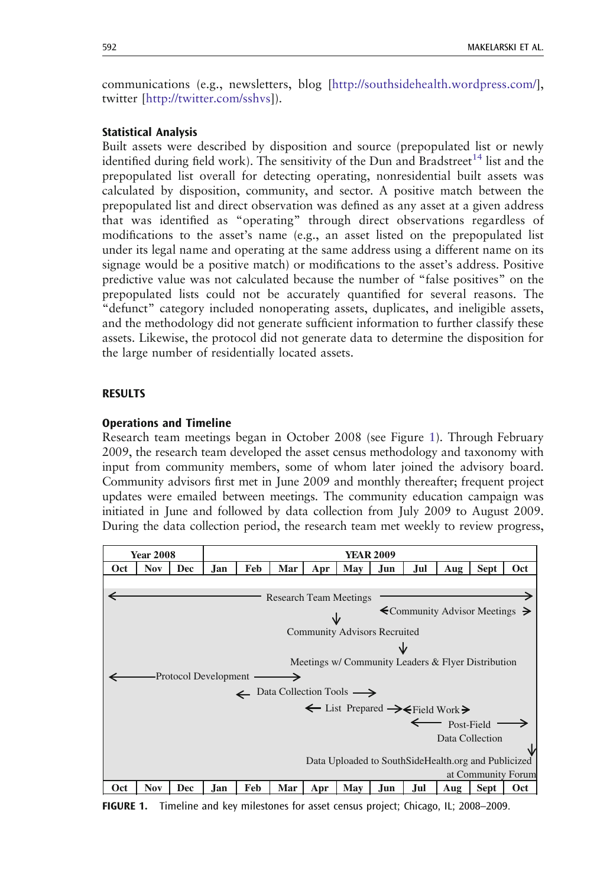communications (e.g., newsletters, blog [[http://southsidehealth.wordpress.com/\]](http://southsidehealth.wordpress.com/), twitter [\[http://twitter.com/sshvs\]](http://twitter.com/sshvs)).

#### Statistical Analysis

Built assets were described by disposition and source (prepopulated list or newly identified during field work). The sensitivity of the Dun and Bradstreet<sup>[14](#page-14-0)</sup> list and the prepopulated list overall for detecting operating, nonresidential built assets was calculated by disposition, community, and sector. A positive match between the prepopulated list and direct observation was defined as any asset at a given address that was identified as "operating" through direct observations regardless of modifications to the asset's name (e.g., an asset listed on the prepopulated list under its legal name and operating at the same address using a different name on its signage would be a positive match) or modifications to the asset's address. Positive predictive value was not calculated because the number of "false positives" on the prepopulated lists could not be accurately quantified for several reasons. The "defunct" category included nonoperating assets, duplicates, and ineligible assets, and the methodology did not generate sufficient information to further classify these assets. Likewise, the protocol did not generate data to determine the disposition for the large number of residentially located assets.

## RESULTS

## Operations and Timeline

Research team meetings began in October 2008 (see Figure 1). Through February 2009, the research team developed the asset census methodology and taxonomy with input from community members, some of whom later joined the advisory board. Community advisors first met in June 2009 and monthly thereafter; frequent project updates were emailed between meetings. The community education campaign was initiated in June and followed by data collection from July 2009 to August 2009. During the data collection period, the research team met weekly to review progress,



FIGURE 1. Timeline and key milestones for asset census project; Chicago, IL; 2008-2009.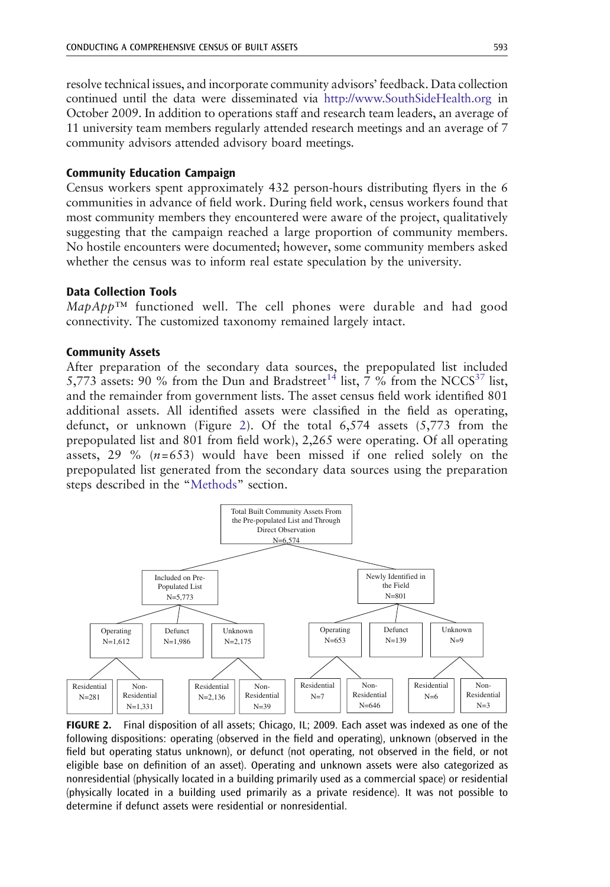resolve technical issues, and incorporate community advisors' feedback. Data collection continued until the data were disseminated via <http://www.SouthSideHealth.org> in October 2009. In addition to operations staff and research team leaders, an average of 11 university team members regularly attended research meetings and an average of 7 community advisors attended advisory board meetings.

## Community Education Campaign

Census workers spent approximately 432 person-hours distributing flyers in the 6 communities in advance of field work. During field work, census workers found that most community members they encountered were aware of the project, qualitatively suggesting that the campaign reached a large proportion of community members. No hostile encounters were documented; however, some community members asked whether the census was to inform real estate speculation by the university.

## Data Collection Tools

MapApp™ functioned well. The cell phones were durable and had good connectivity. The customized taxonomy remained largely intact.

#### Community Assets

After preparation of the secondary data sources, the prepopulated list included 5,773 assets: 90 % from the Dun and Bradstreet<sup>14</sup> list, 7 % from the NCCS<sup>[37](#page-15-0)</sup> list, and the remainder from government lists. The asset census field work identified 801 additional assets. All identified assets were classified in the field as operating, defunct, or unknown (Figure 2). Of the total 6,574 assets (5,773 from the prepopulated list and 801 from field work), 2,265 were operating. Of all operating assets,  $29\%$  ( $n=653$ ) would have been missed if one relied solely on the prepopulated list generated from the secondary data sources using the preparation steps described in the "Methods" section.



FIGURE 2. Final disposition of all assets; Chicago, IL; 2009. Each asset was indexed as one of the following dispositions: operating (observed in the field and operating), unknown (observed in the field but operating status unknown), or defunct (not operating, not observed in the field, or not eligible base on definition of an asset). Operating and unknown assets were also categorized as nonresidential (physically located in a building primarily used as a commercial space) or residential (physically located in a building used primarily as a private residence). It was not possible to determine if defunct assets were residential or nonresidential.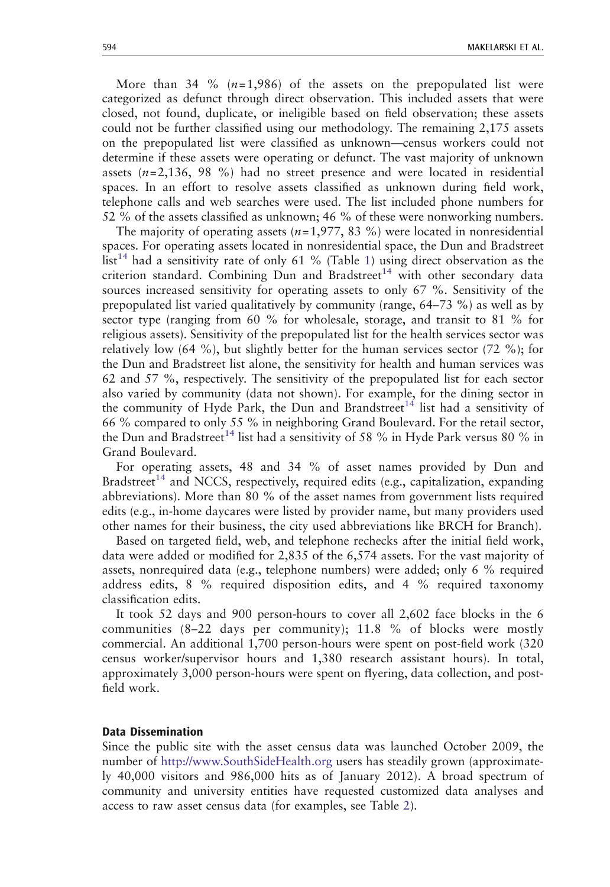More than 34 % ( $n=1,986$ ) of the assets on the prepopulated list were categorized as defunct through direct observation. This included assets that were closed, not found, duplicate, or ineligible based on field observation; these assets could not be further classified using our methodology. The remaining 2,175 assets on the prepopulated list were classified as unknown—census workers could not determine if these assets were operating or defunct. The vast majority of unknown assets  $(n=2,136, 98 \%)$  had no street presence and were located in residential spaces. In an effort to resolve assets classified as unknown during field work, telephone calls and web searches were used. The list included phone numbers for 52 % of the assets classified as unknown; 46 % of these were nonworking numbers.

The majority of operating assets ( $n=1,977, 83$  %) were located in nonresidential spaces. For operating assets located in nonresidential space, the Dun and Bradstreet list<sup>[14](#page-14-0)</sup> had a sensitivity rate of only 6[1](#page-9-0) % (Table 1) using direct observation as the criterion standard. Combining Dun and Bradstreet<sup>[14](#page-14-0)</sup> with other secondary data sources increased sensitivity for operating assets to only 67 %. Sensitivity of the prepopulated list varied qualitatively by community (range, 64–73 %) as well as by sector type (ranging from 60 % for wholesale, storage, and transit to 81 % for religious assets). Sensitivity of the prepopulated list for the health services sector was relatively low  $(64 \%)$ , but slightly better for the human services sector  $(72 \%)$ ; for the Dun and Bradstreet list alone, the sensitivity for health and human services was 62 and 57 %, respectively. The sensitivity of the prepopulated list for each sector also varied by community (data not shown). For example, for the dining sector in the community of Hyde Park, the Dun and Brandstreet<sup>[14](#page-14-0)</sup> list had a sensitivity of 66 % compared to only 55 % in neighboring Grand Boulevard. For the retail sector, the Dun and Bradstreet<sup>[14](#page-14-0)</sup> list had a sensitivity of 58 % in Hyde Park versus 80 % in Grand Boulevard.

For operating assets, 48 and 34 % of asset names provided by Dun and Bradstreet<sup>14</sup> and NCCS, respectively, required edits (e.g., capitalization, expanding abbreviations). More than 80 % of the asset names from government lists required edits (e.g., in-home daycares were listed by provider name, but many providers used other names for their business, the city used abbreviations like BRCH for Branch).

Based on targeted field, web, and telephone rechecks after the initial field work, data were added or modified for 2,835 of the 6,574 assets. For the vast majority of assets, nonrequired data (e.g., telephone numbers) were added; only 6 % required address edits, 8 % required disposition edits, and 4 % required taxonomy classification edits.

It took 52 days and 900 person-hours to cover all 2,602 face blocks in the 6 communities (8–22 days per community); 11.8 % of blocks were mostly commercial. An additional 1,700 person-hours were spent on post-field work (320 census worker/supervisor hours and 1,380 research assistant hours). In total, approximately 3,000 person-hours were spent on flyering, data collection, and postfield work.

#### Data Dissemination

Since the public site with the asset census data was launched October 2009, the number of <http://www.SouthSideHealth.org> users has steadily grown (approximately 40,000 visitors and 986,000 hits as of January 2012). A broad spectrum of community and university entities have requested customized data analyses and access to raw asset census data (for examples, see Table [2\)](#page-11-0).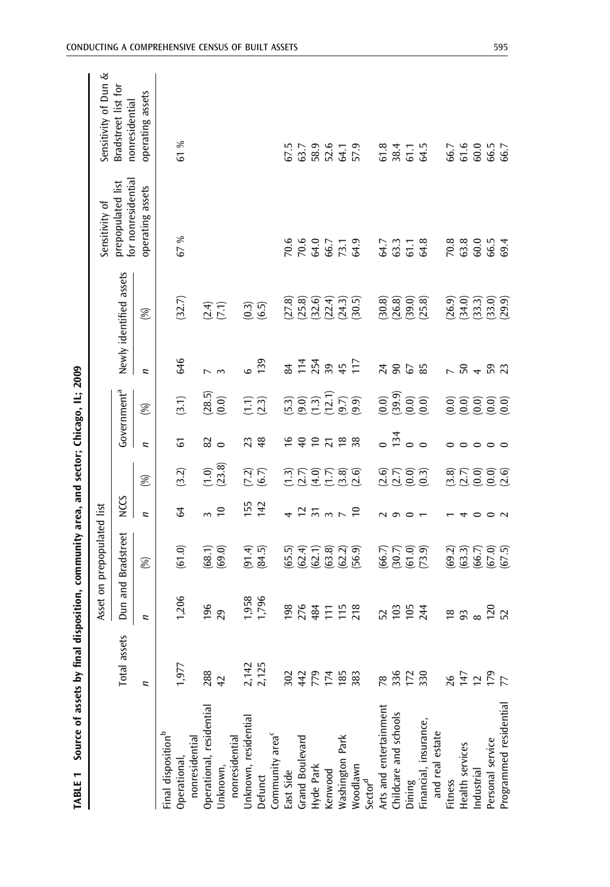<span id="page-9-0"></span>

|                                 |                 |                                  | Asset on prepopulated list            |                |                             |                                    |                                                                                                                                                                                                                                                                                                                                                   |                                                                                                                                                          |                                                          | Sensitivity of                                                                  | Sensitivity of Dun &                  |
|---------------------------------|-----------------|----------------------------------|---------------------------------------|----------------|-----------------------------|------------------------------------|---------------------------------------------------------------------------------------------------------------------------------------------------------------------------------------------------------------------------------------------------------------------------------------------------------------------------------------------------|----------------------------------------------------------------------------------------------------------------------------------------------------------|----------------------------------------------------------|---------------------------------------------------------------------------------|---------------------------------------|
|                                 | Total assets    |                                  | Dun and Bradstreet                    | NCCS           |                             |                                    | Government <sup>a</sup>                                                                                                                                                                                                                                                                                                                           |                                                                                                                                                          | Newly identified assets                                  | for nonresidential<br>prepopulated list                                         | Bradstreet list for<br>nonresidential |
|                                 | 2               | 2                                | (%)                                   | Z              | (%)                         | Z,                                 | (%)                                                                                                                                                                                                                                                                                                                                               | Z                                                                                                                                                        | (%)                                                      | operating assets                                                                | operating assets                      |
| Final disposition <sup>b</sup>  |                 |                                  |                                       |                |                             |                                    |                                                                                                                                                                                                                                                                                                                                                   |                                                                                                                                                          |                                                          |                                                                                 |                                       |
| Operational,                    | 1,977           | 1,206                            | (61.0)                                | $\mathfrak{F}$ | (3.2)                       | 67                                 | (3.1)                                                                                                                                                                                                                                                                                                                                             | 646                                                                                                                                                      | (32.7)                                                   | $\%$<br>5                                                                       | 61 %                                  |
| nonresidential                  |                 |                                  |                                       |                |                             |                                    |                                                                                                                                                                                                                                                                                                                                                   |                                                                                                                                                          |                                                          |                                                                                 |                                       |
| Operational, residential        | 288             | $196$<br>$29$                    |                                       |                |                             | $\approx$ 0                        |                                                                                                                                                                                                                                                                                                                                                   |                                                                                                                                                          |                                                          |                                                                                 |                                       |
| Unknown,                        | 42              |                                  | $(68.1)$<br>$(69.0)$                  | $\approx$      | $(1.0)$<br>$(23.8)$         |                                    | $(28.5)$<br>$(0.0)$                                                                                                                                                                                                                                                                                                                               |                                                                                                                                                          | (2.4)                                                    |                                                                                 |                                       |
| nonresidential                  |                 |                                  |                                       |                |                             |                                    |                                                                                                                                                                                                                                                                                                                                                   |                                                                                                                                                          |                                                          |                                                                                 |                                       |
| Unknown, residential            | 2,142           |                                  |                                       |                |                             |                                    |                                                                                                                                                                                                                                                                                                                                                   |                                                                                                                                                          |                                                          |                                                                                 |                                       |
| Defunct                         | 2,125           | 1,796                            | $(91.4)$<br>$(84.5)$                  | 154            | $(7.2)$<br>$(6.7)$          | 73                                 | $(1.1)$<br>$(2.3)$                                                                                                                                                                                                                                                                                                                                | 139                                                                                                                                                      | $(0.3)$<br>$(6.5)$                                       |                                                                                 |                                       |
| Community area <sup>c</sup>     |                 |                                  |                                       |                |                             |                                    |                                                                                                                                                                                                                                                                                                                                                   |                                                                                                                                                          |                                                          |                                                                                 |                                       |
| East Side                       | 302             | 198                              |                                       |                |                             |                                    |                                                                                                                                                                                                                                                                                                                                                   |                                                                                                                                                          |                                                          |                                                                                 | 67.5                                  |
| Grand Boulevard                 | 442             | $276$<br>$484$<br>$715$<br>$218$ | 5.5)<br>(6.2.1)<br>(6.2.8)<br>(5.6.9) | 4 2 5 3 7 2    | いいのにはい<br>こくりにはい            | 5665788                            |                                                                                                                                                                                                                                                                                                                                                   | $\begin{array}{c}\n\texttt{a} \overset{\texttt{d}}{\sim} \texttt{a} \texttt{b} \texttt{a} \texttt{b} \overset{\texttt{d}}{\sim} \texttt{c}\n\end{array}$ | $(27.8)$<br>$(25.8)$<br>$(32.6)$                         | 0.6007.19<br>0.0007.19<br>0.07                                                  | 63.7                                  |
| Hyde Park                       |                 |                                  |                                       |                |                             |                                    |                                                                                                                                                                                                                                                                                                                                                   |                                                                                                                                                          |                                                          |                                                                                 | 58.9                                  |
| Kenwood                         | 174             |                                  |                                       |                |                             |                                    |                                                                                                                                                                                                                                                                                                                                                   |                                                                                                                                                          | $(22.4)$<br>$(24.3)$<br>$(30.5)$                         |                                                                                 | 52.6                                  |
| Washington Park                 | $185$<br>383    |                                  |                                       |                |                             |                                    |                                                                                                                                                                                                                                                                                                                                                   |                                                                                                                                                          |                                                          |                                                                                 | 64.1<br>57.9                          |
| Woodlawn<br>Sector <sup>d</sup> |                 |                                  |                                       |                |                             |                                    | $\begin{array}{c} (5.3) \\ (9.0) \\ (1.1) \\ (1.2) \\ (1.3) \\ (1.4) \\ (1.5) \\ (1.6) \\ (1.7) \\ (1.9) \\ (1.9) \\ (1.9) \\ (1.9) \\ (1.9) \\ (1.9) \\ (1.9) \\ (1.9) \\ (1.9) \\ (1.9) \\ (1.9) \\ (1.9) \\ (1.9) \\ (1.9) \\ (1.9) \\ (1.9) \\ (1.9) \\ (1.9) \\ (1.9) \\ (1.9) \\ (1.9) \\ (1.9) \\ (1.9) \\ (1.9) \\ (1.9) \\ (1.9) \\ (1.$ |                                                                                                                                                          |                                                          |                                                                                 |                                       |
| Arts and entertainment          | $\overline{78}$ |                                  |                                       |                |                             |                                    |                                                                                                                                                                                                                                                                                                                                                   |                                                                                                                                                          |                                                          |                                                                                 |                                       |
| Childcare and schools           | 336             |                                  |                                       | $\sim$ $\circ$ |                             | $\circ \frac{1}{24}$ $\circ \circ$ |                                                                                                                                                                                                                                                                                                                                                   | 7852                                                                                                                                                     | 303<br>303<br>303<br>303                                 | $\begin{array}{cc} 7 & 0 & - & 0 \\ 2 & 0 & - & 0 \\ 3 & 0 & 0 & 0 \end{array}$ | 61.3<br>584<br>61.1                   |
| Dining                          | 172             |                                  |                                       |                |                             |                                    |                                                                                                                                                                                                                                                                                                                                                   |                                                                                                                                                          |                                                          |                                                                                 |                                       |
| Financial, insurance,           | 330             |                                  | 66.7<br>1905<br>1909)<br>1909)        |                | 6 7 8 9<br>0 7 9 9<br>0 9 9 |                                    | $(0.0)$<br>$(0.00)$<br>$(0.00)$                                                                                                                                                                                                                                                                                                                   |                                                                                                                                                          |                                                          |                                                                                 | 64.5                                  |
| and real estate                 |                 |                                  |                                       |                |                             |                                    |                                                                                                                                                                                                                                                                                                                                                   |                                                                                                                                                          |                                                          |                                                                                 |                                       |
| Fitness                         | 82              |                                  |                                       |                |                             |                                    |                                                                                                                                                                                                                                                                                                                                                   |                                                                                                                                                          |                                                          | $70.8$<br>$60.0$                                                                |                                       |
| Health services                 |                 |                                  |                                       |                |                             |                                    |                                                                                                                                                                                                                                                                                                                                                   |                                                                                                                                                          |                                                          |                                                                                 |                                       |
| Industrial                      | $\frac{47}{12}$ |                                  | (69.2)<br>(63.3)<br>(67.0)<br>(67.5)  |                | sia<br>Siangg               | $\circ \circ \circ \circ$          | 000000<br>000000                                                                                                                                                                                                                                                                                                                                  | $R + R$                                                                                                                                                  | $(26.9)$<br>$(34.0)$<br>$(33.0)$<br>$(39.0)$<br>$(29.0)$ |                                                                                 | 66.7<br>66.0<br>66.5<br>66.7          |
| Personal service                |                 |                                  |                                       | $\circ$        |                             |                                    |                                                                                                                                                                                                                                                                                                                                                   |                                                                                                                                                          |                                                          | 66.5<br>69.4                                                                    |                                       |
| Programmed residential          | $\overline{7}$  |                                  |                                       |                |                             |                                    |                                                                                                                                                                                                                                                                                                                                                   |                                                                                                                                                          |                                                          |                                                                                 |                                       |

TABLE 1 Source of assets by final disposition, community area, and sector; Chicago, IL: 2009 final disposition, community area, and sector; Chicago, IL; 2009 TABLE 1 Source of assets by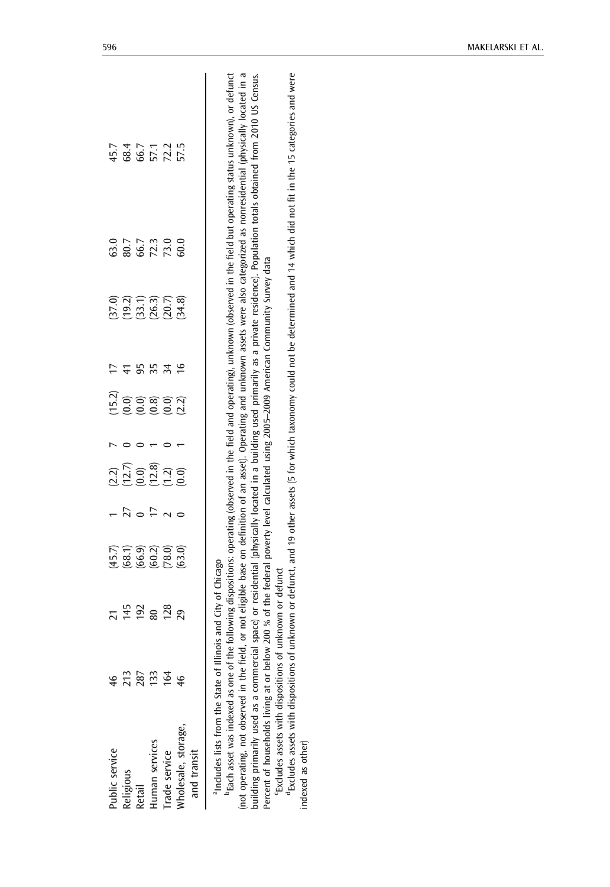| Public service                                                                                                                                                               |     | $\overline{21}$ | (45.7)             | (2.2)                           | (15.2) |                 |                                                                                        | 63.0                 | 45.7                                                                                                                                                                                                                                                                                                                                                                                                                                                                                                                            |
|------------------------------------------------------------------------------------------------------------------------------------------------------------------------------|-----|-----------------|--------------------|---------------------------------|--------|-----------------|----------------------------------------------------------------------------------------|----------------------|---------------------------------------------------------------------------------------------------------------------------------------------------------------------------------------------------------------------------------------------------------------------------------------------------------------------------------------------------------------------------------------------------------------------------------------------------------------------------------------------------------------------------------|
| eligious                                                                                                                                                                     | 213 | 145             | (68.1)             |                                 |        |                 | (37.0)<br>(19.2)<br>(19.3)<br>(20.7)<br>(20.7)                                         | $80.7\,$             | 68.4                                                                                                                                                                                                                                                                                                                                                                                                                                                                                                                            |
| ketail                                                                                                                                                                       | 287 | 192             | (66.9)             |                                 |        | 56              |                                                                                        |                      |                                                                                                                                                                                                                                                                                                                                                                                                                                                                                                                                 |
| luman services                                                                                                                                                               | 133 | 80              |                    | $(12.7)$<br>$(0.0)$<br>$(12.8)$ | 00000  | 55              |                                                                                        | 66.7<br>73.0<br>73.0 | 66.7<br>57.1<br>72.2                                                                                                                                                                                                                                                                                                                                                                                                                                                                                                            |
| rade service                                                                                                                                                                 | 164 | 128             | $(60.2)$<br>(78.0) | (2)                             |        | $\overline{34}$ |                                                                                        |                      |                                                                                                                                                                                                                                                                                                                                                                                                                                                                                                                                 |
| Vholesale, storage,                                                                                                                                                          | 46  | 29              | (63.0)             | $\overline{0.0}$                | 2.2)   | ڡ               | (34.8)                                                                                 | 60.0                 | 57.5                                                                                                                                                                                                                                                                                                                                                                                                                                                                                                                            |
| and transit                                                                                                                                                                  |     |                 |                    |                                 |        |                 |                                                                                        |                      |                                                                                                                                                                                                                                                                                                                                                                                                                                                                                                                                 |
| <sup>a</sup> Includes lists from the State of Illinois and City of Chicago<br>uilding primarily used as a commercial space)<br>ercent of households living at or below 200 % |     |                 |                    |                                 |        |                 | of the federal poverty level calculated using 2005–2009 American Community Survey data |                      | not operating, not observed in the field, or not eligible base on definition of an asset). Operating and unknown assets were also categorized as nonresidential (physically located in a<br>"Each asset was indexed as one of the following dispositions: operating (observed in the field and operating), unknown (observed in the field but operating status unknown), or defunct<br>or residential (physically located in a building used primarily as a private residence). Population totals obtained from 2010 US Census. |

'Excludes assets with dispositions of unknown or defunct<br>"Excludes assets with dispositions of unknown or defunct, and 19 other assets (5 for which taxonomy could not be determined and 14 which did not fit in the 15 catego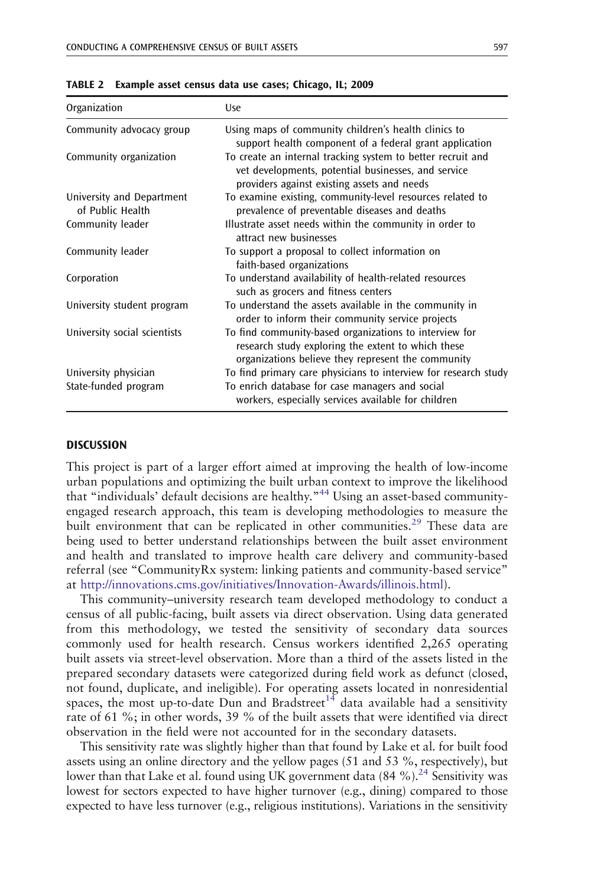| Organization                                  | Use                                                                                                                                                                |
|-----------------------------------------------|--------------------------------------------------------------------------------------------------------------------------------------------------------------------|
| Community advocacy group                      | Using maps of community children's health clinics to<br>support health component of a federal grant application                                                    |
| Community organization                        | To create an internal tracking system to better recruit and<br>vet developments, potential businesses, and service<br>providers against existing assets and needs  |
| University and Department<br>of Public Health | To examine existing, community-level resources related to<br>prevalence of preventable diseases and deaths                                                         |
| Community leader                              | Illustrate asset needs within the community in order to<br>attract new businesses                                                                                  |
| Community leader                              | To support a proposal to collect information on<br>faith-based organizations                                                                                       |
| Corporation                                   | To understand availability of health-related resources<br>such as grocers and fitness centers                                                                      |
| University student program                    | To understand the assets available in the community in<br>order to inform their community service projects                                                         |
| University social scientists                  | To find community-based organizations to interview for<br>research study exploring the extent to which these<br>organizations believe they represent the community |
| University physician                          | To find primary care physicians to interview for research study                                                                                                    |
| State-funded program                          | To enrich database for case managers and social<br>workers, especially services available for children                                                             |

<span id="page-11-0"></span>TABLE 2 Example asset census data use cases; Chicago, IL; 2009

#### **DISCUSSION**

This project is part of a larger effort aimed at improving the health of low-income urban populations and optimizing the built urban context to improve the likelihood that "individuals' default decisions are healthy."<sup>[44](#page-15-0)</sup> Using an asset-based communityengaged research approach, this team is developing methodologies to measure the built environment that can be replicated in other communities.<sup>29</sup> These data are being used to better understand relationships between the built asset environment and health and translated to improve health care delivery and community-based referral (see "CommunityRx system: linking patients and community-based service" at <http://innovations.cms.gov/initiatives/Innovation-Awards/illinois.html>).

This community–university research team developed methodology to conduct a census of all public-facing, built assets via direct observation. Using data generated from this methodology, we tested the sensitivity of secondary data sources commonly used for health research. Census workers identified 2,265 operating built assets via street-level observation. More than a third of the assets listed in the prepared secondary datasets were categorized during field work as defunct (closed, not found, duplicate, and ineligible). For operating assets located in nonresidential spaces, the most up-to-date Dun and Bradstreet<sup>14</sup> data available had a sensitivity rate of 61 %; in other words, 39 % of the built assets that were identified via direct observation in the field were not accounted for in the secondary datasets.

This sensitivity rate was slightly higher than that found by Lake et al. for built food assets using an online directory and the yellow pages (51 and 53 %, respectively), but lower than that Lake et al. found using UK government data  $(84\%)$ <sup>[24](#page-14-0)</sup> Sensitivity was lowest for sectors expected to have higher turnover (e.g., dining) compared to those expected to have less turnover (e.g., religious institutions). Variations in the sensitivity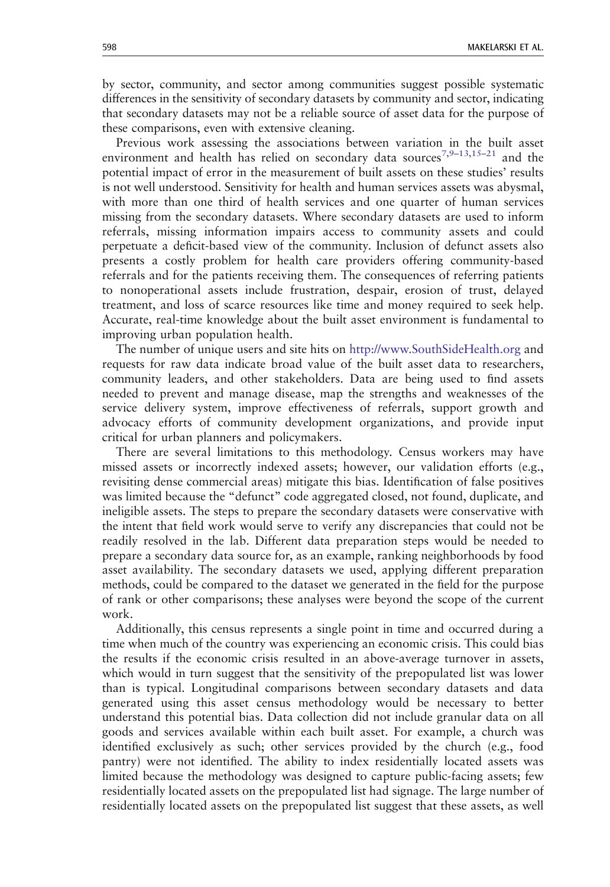by sector, community, and sector among communities suggest possible systematic differences in the sensitivity of secondary datasets by community and sector, indicating that secondary datasets may not be a reliable source of asset data for the purpose of these comparisons, even with extensive cleaning.

Previous work assessing the associations between variation in the built asset environment and health has relied on secondary data sources<sup>[7,9](#page-14-0)–[13,15](#page-14-0)–[21](#page-14-0)</sup> and the potential impact of error in the measurement of built assets on these studies' results is not well understood. Sensitivity for health and human services assets was abysmal, with more than one third of health services and one quarter of human services missing from the secondary datasets. Where secondary datasets are used to inform referrals, missing information impairs access to community assets and could perpetuate a deficit-based view of the community. Inclusion of defunct assets also presents a costly problem for health care providers offering community-based referrals and for the patients receiving them. The consequences of referring patients to nonoperational assets include frustration, despair, erosion of trust, delayed treatment, and loss of scarce resources like time and money required to seek help. Accurate, real-time knowledge about the built asset environment is fundamental to improving urban population health.

The number of unique users and site hits on <http://www.SouthSideHealth.org> and requests for raw data indicate broad value of the built asset data to researchers, community leaders, and other stakeholders. Data are being used to find assets needed to prevent and manage disease, map the strengths and weaknesses of the service delivery system, improve effectiveness of referrals, support growth and advocacy efforts of community development organizations, and provide input critical for urban planners and policymakers.

There are several limitations to this methodology. Census workers may have missed assets or incorrectly indexed assets; however, our validation efforts (e.g., revisiting dense commercial areas) mitigate this bias. Identification of false positives was limited because the "defunct" code aggregated closed, not found, duplicate, and ineligible assets. The steps to prepare the secondary datasets were conservative with the intent that field work would serve to verify any discrepancies that could not be readily resolved in the lab. Different data preparation steps would be needed to prepare a secondary data source for, as an example, ranking neighborhoods by food asset availability. The secondary datasets we used, applying different preparation methods, could be compared to the dataset we generated in the field for the purpose of rank or other comparisons; these analyses were beyond the scope of the current work.

Additionally, this census represents a single point in time and occurred during a time when much of the country was experiencing an economic crisis. This could bias the results if the economic crisis resulted in an above-average turnover in assets, which would in turn suggest that the sensitivity of the prepopulated list was lower than is typical. Longitudinal comparisons between secondary datasets and data generated using this asset census methodology would be necessary to better understand this potential bias. Data collection did not include granular data on all goods and services available within each built asset. For example, a church was identified exclusively as such; other services provided by the church (e.g., food pantry) were not identified. The ability to index residentially located assets was limited because the methodology was designed to capture public-facing assets; few residentially located assets on the prepopulated list had signage. The large number of residentially located assets on the prepopulated list suggest that these assets, as well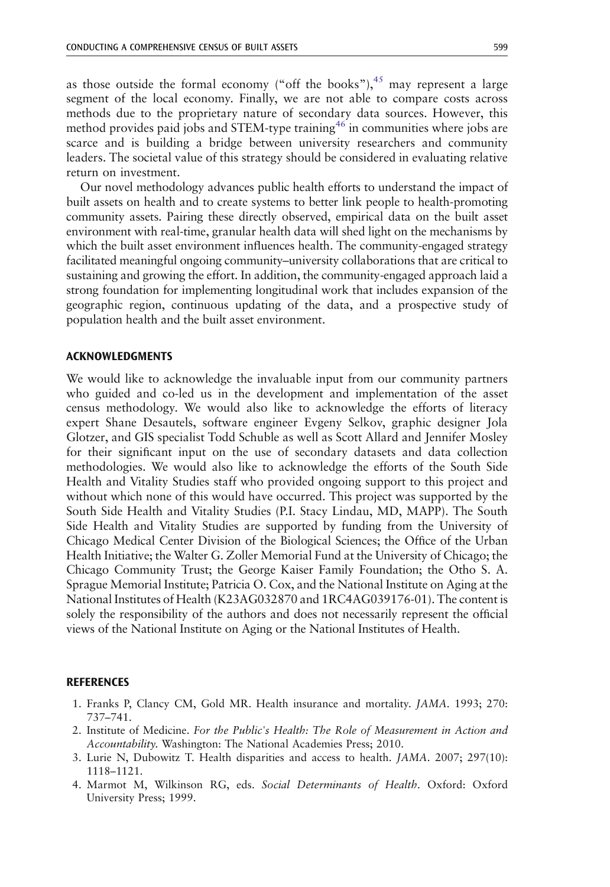<span id="page-13-0"></span>as those outside the formal economy ("off the books"), $45$  may represent a large segment of the local economy. Finally, we are not able to compare costs across methods due to the proprietary nature of secondary data sources. However, this method provides paid jobs and STEM-type training<sup>[46](#page-15-0)</sup> in communities where jobs are scarce and is building a bridge between university researchers and community leaders. The societal value of this strategy should be considered in evaluating relative return on investment.

Our novel methodology advances public health efforts to understand the impact of built assets on health and to create systems to better link people to health-promoting community assets. Pairing these directly observed, empirical data on the built asset environment with real-time, granular health data will shed light on the mechanisms by which the built asset environment influences health. The community-engaged strategy facilitated meaningful ongoing community–university collaborations that are critical to sustaining and growing the effort. In addition, the community-engaged approach laid a strong foundation for implementing longitudinal work that includes expansion of the geographic region, continuous updating of the data, and a prospective study of population health and the built asset environment.

## ACKNOWLEDGMENTS

We would like to acknowledge the invaluable input from our community partners who guided and co-led us in the development and implementation of the asset census methodology. We would also like to acknowledge the efforts of literacy expert Shane Desautels, software engineer Evgeny Selkov, graphic designer Jola Glotzer, and GIS specialist Todd Schuble as well as Scott Allard and Jennifer Mosley for their significant input on the use of secondary datasets and data collection methodologies. We would also like to acknowledge the efforts of the South Side Health and Vitality Studies staff who provided ongoing support to this project and without which none of this would have occurred. This project was supported by the South Side Health and Vitality Studies (P.I. Stacy Lindau, MD, MAPP). The South Side Health and Vitality Studies are supported by funding from the University of Chicago Medical Center Division of the Biological Sciences; the Office of the Urban Health Initiative; the Walter G. Zoller Memorial Fund at the University of Chicago; the Chicago Community Trust; the George Kaiser Family Foundation; the Otho S. A. Sprague Memorial Institute; Patricia O. Cox, and the National Institute on Aging at the National Institutes of Health (K23AG032870 and 1RC4AG039176-01). The content is solely the responsibility of the authors and does not necessarily represent the official views of the National Institute on Aging or the National Institutes of Health.

#### REFERENCES

- 1. Franks P, Clancy CM, Gold MR. Health insurance and mortality. JAMA. 1993; 270: 737–741.
- 2. Institute of Medicine. For the Public's Health: The Role of Measurement in Action and Accountability. Washington: The National Academies Press; 2010.
- 3. Lurie N, Dubowitz T. Health disparities and access to health. JAMA. 2007; 297(10): 1118–1121.
- 4. Marmot M, Wilkinson RG, eds. Social Determinants of Health. Oxford: Oxford University Press; 1999.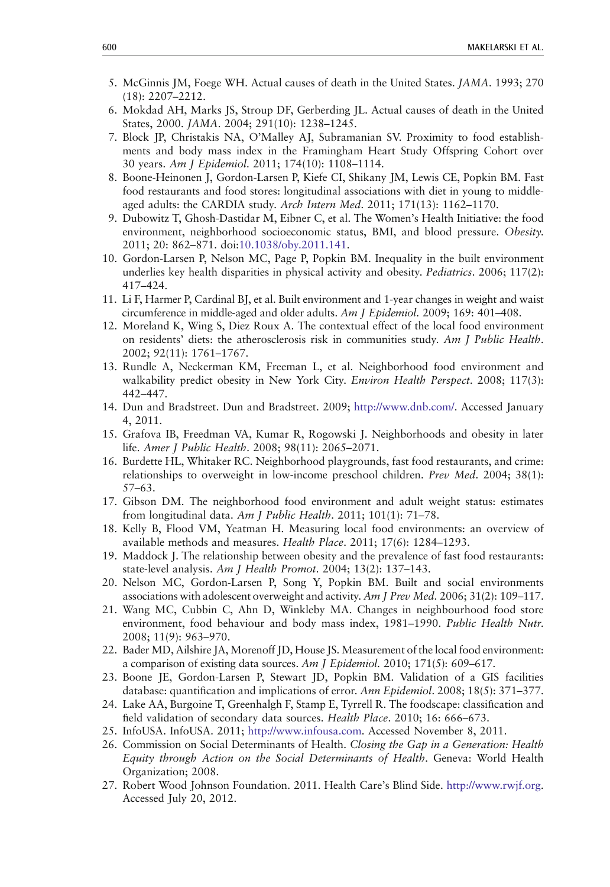- <span id="page-14-0"></span>5. McGinnis JM, Foege WH. Actual causes of death in the United States. JAMA. 1993; 270 (18): 2207–2212.
- 6. Mokdad AH, Marks JS, Stroup DF, Gerberding JL. Actual causes of death in the United States, 2000. JAMA. 2004; 291(10): 1238–1245.
- 7. Block JP, Christakis NA, O'Malley AJ, Subramanian SV. Proximity to food establishments and body mass index in the Framingham Heart Study Offspring Cohort over 30 years. Am J Epidemiol. 2011; 174(10): 1108–1114.
- 8. Boone-Heinonen J, Gordon-Larsen P, Kiefe CI, Shikany JM, Lewis CE, Popkin BM. Fast food restaurants and food stores: longitudinal associations with diet in young to middleaged adults: the CARDIA study. Arch Intern Med. 2011; 171(13): 1162-1170.
- 9. Dubowitz T, Ghosh-Dastidar M, Eibner C, et al. The Women's Health Initiative: the food environment, neighborhood socioeconomic status, BMI, and blood pressure. Obesity. 2011; 20: 862–871. doi[:10.1038/oby.2011.141.](http://dx.doi.org/10.1038/oby.2011.141)
- 10. Gordon-Larsen P, Nelson MC, Page P, Popkin BM. Inequality in the built environment underlies key health disparities in physical activity and obesity. Pediatrics. 2006; 117(2): 417–424.
- 11. Li F, Harmer P, Cardinal BJ, et al. Built environment and 1-year changes in weight and waist circumference in middle-aged and older adults. Am J Epidemiol. 2009; 169: 401–408.
- 12. Moreland K, Wing S, Diez Roux A. The contextual effect of the local food environment on residents' diets: the atherosclerosis risk in communities study. Am J Public Health. 2002; 92(11): 1761–1767.
- 13. Rundle A, Neckerman KM, Freeman L, et al. Neighborhood food environment and walkability predict obesity in New York City. *Environ Health Perspect*. 2008; 117(3): 442–447.
- 14. Dun and Bradstreet. Dun and Bradstreet. 2009; [http://www.dnb.com/.](http://www.dnb.com/) Accessed January 4, 2011.
- 15. Grafova IB, Freedman VA, Kumar R, Rogowski J. Neighborhoods and obesity in later life. Amer J Public Health. 2008; 98(11): 2065–2071.
- 16. Burdette HL, Whitaker RC. Neighborhood playgrounds, fast food restaurants, and crime: relationships to overweight in low-income preschool children. Prev Med. 2004; 38(1): 57–63.
- 17. Gibson DM. The neighborhood food environment and adult weight status: estimates from longitudinal data. Am J Public Health. 2011; 101(1): 71-78.
- 18. Kelly B, Flood VM, Yeatman H. Measuring local food environments: an overview of available methods and measures. Health Place. 2011; 17(6): 1284–1293.
- 19. Maddock J. The relationship between obesity and the prevalence of fast food restaurants: state-level analysis. Am J Health Promot. 2004; 13(2): 137–143.
- 20. Nelson MC, Gordon-Larsen P, Song Y, Popkin BM. Built and social environments associations with adolescent overweight and activity. Am J Prev Med. 2006; 31(2): 109–117.
- 21. Wang MC, Cubbin C, Ahn D, Winkleby MA. Changes in neighbourhood food store environment, food behaviour and body mass index, 1981–1990. Public Health Nutr. 2008; 11(9): 963–970.
- 22. Bader MD, Ailshire JA, Morenoff JD, House JS. Measurement of the local food environment: a comparison of existing data sources. Am J Epidemiol. 2010; 171(5): 609–617.
- 23. Boone JE, Gordon-Larsen P, Stewart JD, Popkin BM. Validation of a GIS facilities database: quantification and implications of error. Ann Epidemiol. 2008; 18(5): 371–377.
- 24. Lake AA, Burgoine T, Greenhalgh F, Stamp E, Tyrrell R. The foodscape: classification and field validation of secondary data sources. Health Place. 2010; 16: 666–673.
- 25. InfoUSA. InfoUSA. 2011; [http://www.infousa.com.](http://www.infousa.com) Accessed November 8, 2011.
- 26. Commission on Social Determinants of Health. Closing the Gap in a Generation: Health Equity through Action on the Social Determinants of Health. Geneva: World Health Organization; 2008.
- 27. Robert Wood Johnson Foundation. 2011. Health Care's Blind Side. <http://www.rwjf.org>. Accessed July 20, 2012.